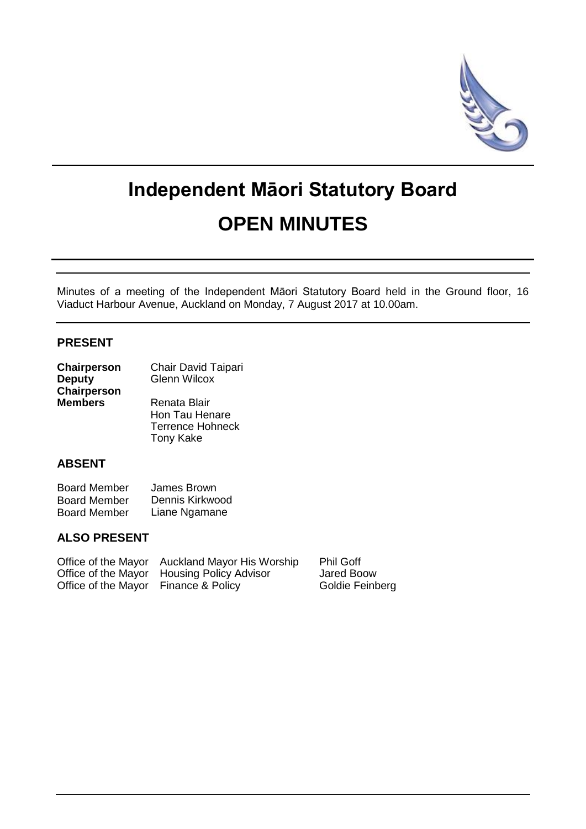

# **Independent Māori Statutory Board OPEN MINUTES**

Minutes of a meeting of the Independent Māori Statutory Board held in the Ground floor, 16 Viaduct Harbour Avenue, Auckland on Monday, 7 August 2017 at 10.00am.

### **PRESENT**

| Chairperson    | Chair David Taipari     |  |  |
|----------------|-------------------------|--|--|
| <b>Deputy</b>  | <b>Glenn Wilcox</b>     |  |  |
| Chairperson    |                         |  |  |
| <b>Members</b> | Renata Blair            |  |  |
|                | Hon Tau Henare          |  |  |
|                | <b>Terrence Hohneck</b> |  |  |

Tony Kake

#### **ABSENT**

| <b>Board Member</b> | James Brown     |
|---------------------|-----------------|
| <b>Board Member</b> | Dennis Kirkwood |
| <b>Board Member</b> | Liane Ngamane   |

#### **ALSO PRESENT**

|                                      | Office of the Mayor Auckland Mayor His Worship | <b>Phil Goff</b> |
|--------------------------------------|------------------------------------------------|------------------|
|                                      | Office of the Mayor Housing Policy Advisor     | Jared Boow       |
| Office of the Mayor Finance & Policy |                                                | Goldie Feinberg  |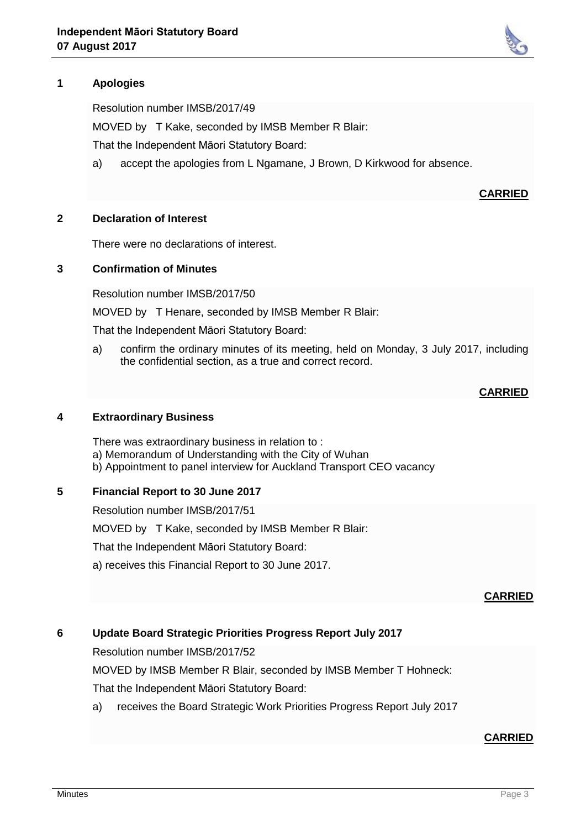# **1 Apologies**

Resolution number IMSB/2017/49

MOVED by T Kake, seconded by IMSB Member R Blair:

That the Independent Māori Statutory Board:

a) accept the apologies from L Ngamane, J Brown, D Kirkwood for absence.

#### **CARRIED**

#### **2 Declaration of Interest**

There were no declarations of interest.

#### **3 Confirmation of Minutes**

Resolution number IMSB/2017/50

MOVED by T Henare, seconded by IMSB Member R Blair:

That the Independent Māori Statutory Board:

a) confirm the ordinary minutes of its meeting, held on Monday, 3 July 2017, including the confidential section, as a true and correct record.

#### **CARRIED**

#### **4 Extraordinary Business**

There was extraordinary business in relation to : a) Memorandum of Understanding with the City of Wuhan b) Appointment to panel interview for Auckland Transport CEO vacancy

#### **5 Financial Report to 30 June 2017**

Resolution number IMSB/2017/51

MOVED by T Kake, seconded by IMSB Member R Blair:

That the Independent Māori Statutory Board:

a) receives this Financial Report to 30 June 2017.

#### **CARRIED**

# **6 Update Board Strategic Priorities Progress Report July 2017**

Resolution number IMSB/2017/52

MOVED by IMSB Member R Blair, seconded by IMSB Member T Hohneck:

That the Independent Māori Statutory Board:

a) receives the Board Strategic Work Priorities Progress Report July 2017

#### **CARRIED**

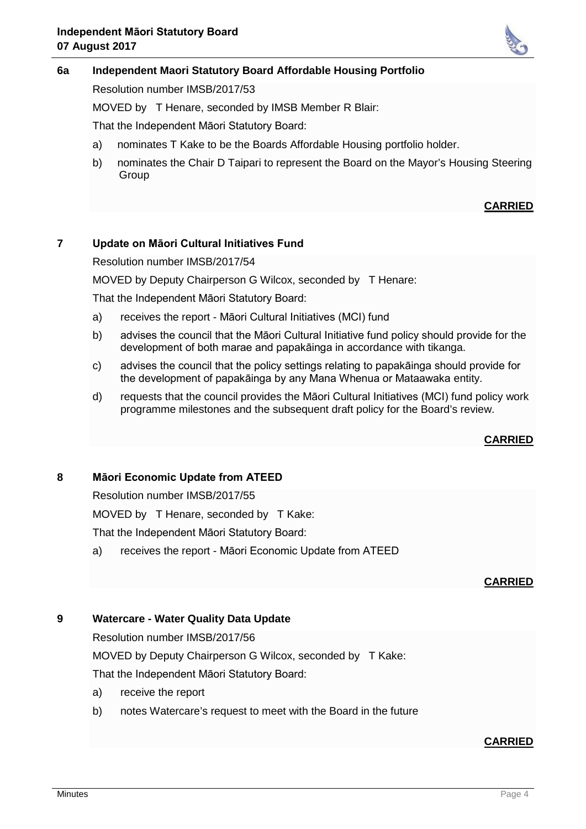

#### **6a Independent Maori Statutory Board Affordable Housing Portfolio**

Resolution number IMSB/2017/53

MOVED by T Henare, seconded by IMSB Member R Blair:

That the Independent Māori Statutory Board:

- a) nominates T Kake to be the Boards Affordable Housing portfolio holder.
- b) nominates the Chair D Taipari to represent the Board on the Mayor's Housing Steering **Group**

#### **CARRIED**

#### **7 Update on Māori Cultural Initiatives Fund**

Resolution number IMSB/2017/54

MOVED by Deputy Chairperson G Wilcox, seconded by T Henare:

That the Independent Māori Statutory Board:

- a) receives the report Māori Cultural Initiatives (MCI) fund
- b) advises the council that the Māori Cultural Initiative fund policy should provide for the development of both marae and papakāinga in accordance with tikanga.
- c) advises the council that the policy settings relating to papakāinga should provide for the development of papakāinga by any Mana Whenua or Mataawaka entity.
- d) requests that the council provides the Māori Cultural Initiatives (MCI) fund policy work programme milestones and the subsequent draft policy for the Board's review.

#### **CARRIED**

#### **8 Māori Economic Update from ATEED**

Resolution number IMSB/2017/55

MOVED by T Henare, seconded by T Kake:

That the Independent Māori Statutory Board:

a) receives the report - Māori Economic Update from ATEED

#### **CARRIED**

#### **9 Watercare - Water Quality Data Update**

Resolution number IMSB/2017/56

MOVED by Deputy Chairperson G Wilcox, seconded by T Kake:

That the Independent Māori Statutory Board:

- a) receive the report
- b) notes Watercare's request to meet with the Board in the future

#### **CARRIED**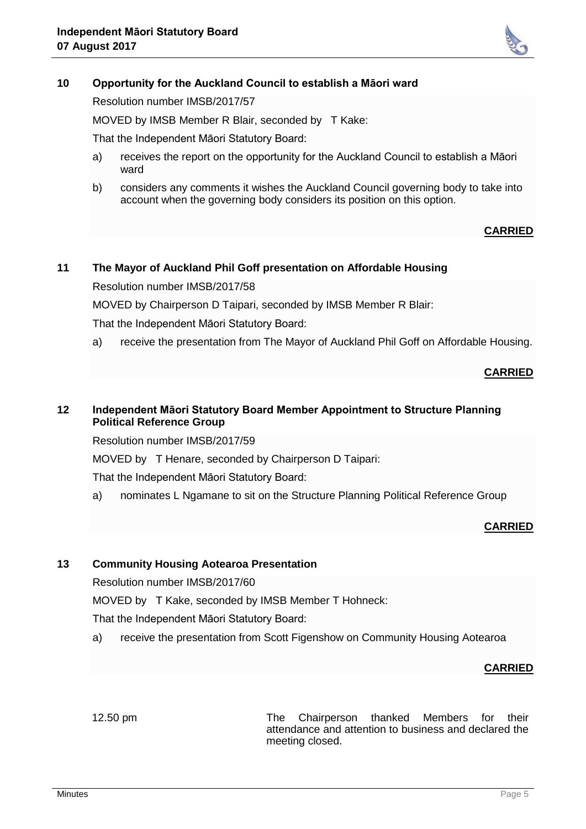

#### **10 Opportunity for the Auckland Council to establish a Māori ward**

Resolution number IMSB/2017/57

MOVED by IMSB Member R Blair, seconded by T Kake:

That the Independent Māori Statutory Board:

- a) receives the report on the opportunity for the Auckland Council to establish a Māori ward
- b) considers any comments it wishes the Auckland Council governing body to take into account when the governing body considers its position on this option.

#### **CARRIED**

# **11 The Mayor of Auckland Phil Goff presentation on Affordable Housing**

Resolution number IMSB/2017/58

MOVED by Chairperson D Taipari, seconded by IMSB Member R Blair:

That the Independent Māori Statutory Board:

a) receive the presentation from The Mayor of Auckland Phil Goff on Affordable Housing.

#### **CARRIED**

#### **12 Independent Māori Statutory Board Member Appointment to Structure Planning Political Reference Group**

Resolution number IMSB/2017/59

MOVED by T Henare, seconded by Chairperson D Taipari:

That the Independent Māori Statutory Board:

a) nominates L Ngamane to sit on the Structure Planning Political Reference Group

#### **CARRIED**

#### **13 Community Housing Aotearoa Presentation**

Resolution number IMSB/2017/60

MOVED by T Kake, seconded by IMSB Member T Hohneck:

That the Independent Māori Statutory Board:

a) receive the presentation from Scott Figenshow on Community Housing Aotearoa

#### **CARRIED**

12.50 pm The Chairperson thanked Members for their attendance and attention to business and declared the meeting closed.